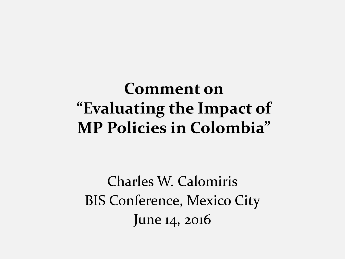#### **Comment on "Evaluating the Impact of MP Policies in Colombia"**

Charles W. Calomiris BIS Conference, Mexico City June 14, 2016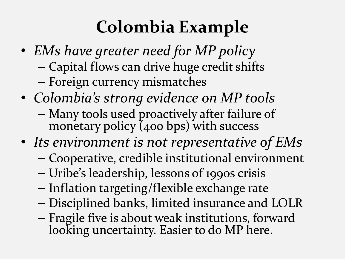# **Colombia Example**

- *EMs have greater need for MP policy* – Capital flows can drive huge credit shifts – Foreign currency mismatches
- *Colombia's strong evidence on MP tools* – Many tools used proactively after failure of monetary policy  $(400 bps)$  with success
- *Its environment is not representative of EMs*
	- Cooperative, credible institutional environment
	- Uribe's leadership, lessons of 1990s crisis
	- Inflation targeting/flexible exchange rate
	- Disciplined banks, limited insurance and LOLR
	- Fragile five is about weak institutions, forward looking uncertainty. Easier to do MP here.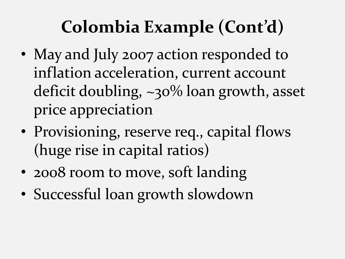# **Colombia Example (Cont'd)**

- May and July 2007 action responded to inflation acceleration, current account deficit doubling, ~30% loan growth, asset price appreciation
- Provisioning, reserve req., capital flows (huge rise in capital ratios)
- 2008 room to move, soft landing
- Successful loan growth slowdown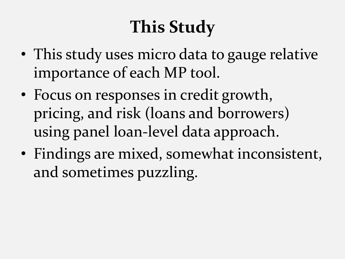# **This Study**

- This study uses micro data to gauge relative importance of each MP tool.
- Focus on responses in credit growth, pricing, and risk (loans and borrowers) using panel loan-level data approach.
- Findings are mixed, somewhat inconsistent, and sometimes puzzling.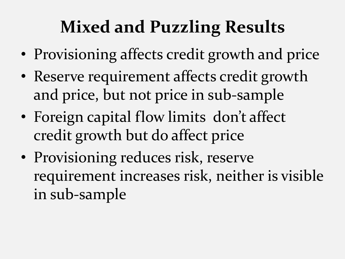# **Mixed and Puzzling Results**

- Provisioning affects credit growth and price
- Reserve requirement affects credit growth and price, but not price in sub-sample
- Foreign capital flow limits don't affect credit growth but do affect price
- Provisioning reduces risk, reserve requirement increases risk, neither is visible in sub-sample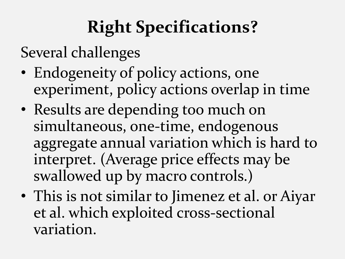# **Right Specifications?**

Several challenges

- Endogeneity of policy actions, one experiment, policy actions overlap in time
- Results are depending too much on simultaneous, one-time, endogenous aggregate annual variation which is hard to interpret. (Average price effects may be swallowed up by macro controls.)
- This is not similar to Jimenez et al. or Aiyar et al. which exploited cross-sectional variation.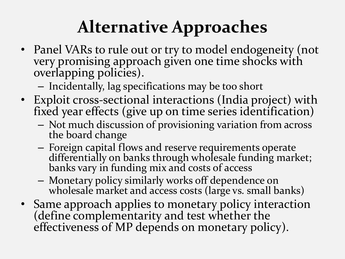### **Alternative Approaches**

- Panel VARs to rule out or try to model endogeneity (not very promising approach given one time shocks with overlapping policies).
	- Incidentally, lag specifications may be too short
- Exploit cross-sectional interactions (India project) with fixed year effects (give up on time series identification)
	- Not much discussion of provisioning variation from across the board change
	- Foreign capital flows and reserve requirements operate differentially on banks through wholesale funding market; banks vary in funding mix and costs of access
	- Monetary policy similarly works off dependence on wholesale market and access costs (large vs. small banks)
- Same approach applies to monetary policy interaction (define complementarity and test whether the effectiveness of MP depends on monetary policy).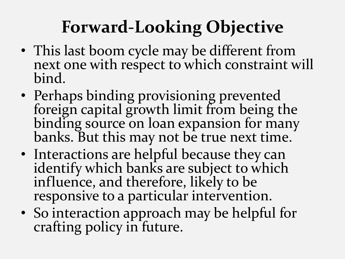# **Forward-Looking Objective**

- This last boom cycle may be different from next one with respect to which constraint will bind.
- Perhaps binding provisioning prevented foreign capital growth limit from being the binding source on loan expansion for many banks. But this may not be true next time.
- Interactions are helpful because they can identify which banks are subject to which influence, and therefore, likely to be responsive to a particular intervention.
- So interaction approach may be helpful for crafting policy in future.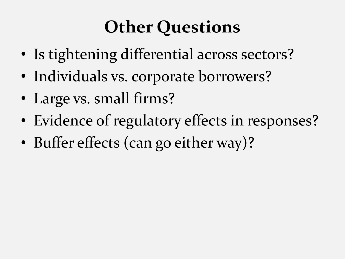## **Other Questions**

- Is tightening differential across sectors?
- Individuals vs. corporate borrowers?
- Large vs. small firms?
- Evidence of regulatory effects in responses?
- Buffer effects (can go either way)?